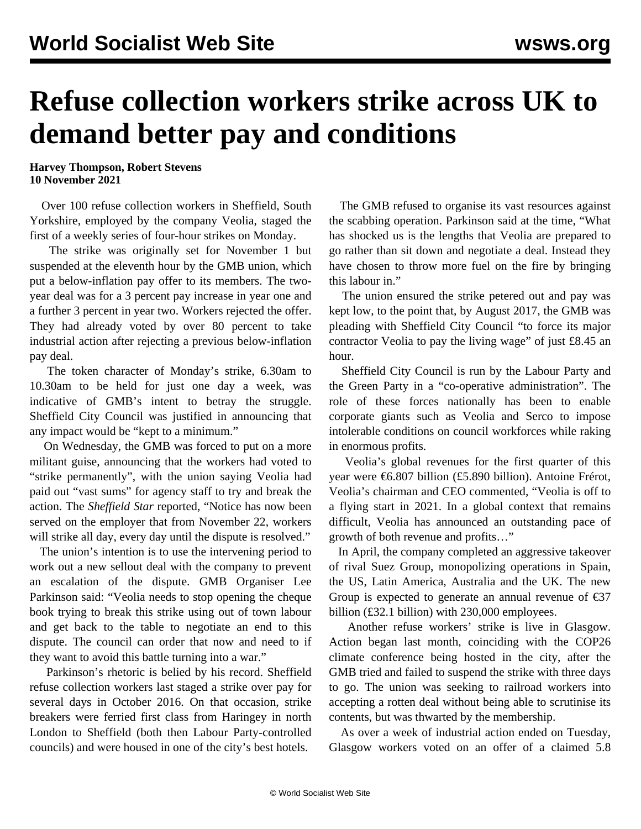## **Refuse collection workers strike across UK to demand better pay and conditions**

**Harvey Thompson, Robert Stevens 10 November 2021**

 Over 100 refuse collection workers in Sheffield, South Yorkshire, employed by the company Veolia, staged the first of a weekly series of four-hour strikes on Monday.

 The strike was originally set for November 1 but suspended at the eleventh hour by the GMB union, which put a below-inflation pay offer to its members. The twoyear deal was for a 3 percent pay increase in year one and a further 3 percent in year two. Workers rejected the offer. They had already voted by over 80 percent to take industrial action after rejecting a previous below-inflation pay deal.

 The token character of Monday's strike, 6.30am to 10.30am to be held for just one day a week, was indicative of GMB's intent to betray the struggle. Sheffield City Council was justified in announcing that any impact would be "kept to a minimum."

 On Wednesday, the GMB was forced to put on a more militant guise, announcing that the workers had voted to "strike permanently", with the union saying Veolia had paid out "vast sums" for agency staff to try and break the action. The *Sheffield Star* reported, "Notice has now been served on the employer that from November 22, workers will strike all day, every day until the dispute is resolved."

 The union's intention is to use the intervening period to work out a new sellout deal with the company to prevent an escalation of the dispute. GMB Organiser Lee Parkinson said: "Veolia needs to stop opening the cheque book trying to break this strike using out of town labour and get back to the table to negotiate an end to this dispute. The council can order that now and need to if they want to avoid this battle turning into a war."

 Parkinson's rhetoric is belied by his record. Sheffield refuse collection workers last staged a strike over pay for several days in [October](/en/articles/2016/10/28/wrks-o28.html) 2016. On that occasion, strike breakers were ferried first class from Haringey in north London to Sheffield (both then Labour Party-controlled councils) and were housed in one of the city's best hotels.

 The GMB refused to organise its vast resources against the scabbing operation. Parkinson said at the time, "What has shocked us is the lengths that Veolia are prepared to go rather than sit down and negotiate a deal. Instead they have chosen to throw more fuel on the fire by bringing this labour in."

 The union ensured the strike petered out and pay was kept low, to the point that, by August 2017, the GMB was pleading with Sheffield City Council "to force its major contractor Veolia to pay the living wage" of just £8.45 an hour.

 Sheffield City Council is run by the Labour Party and the Green Party in a "co-operative administration". The role of these forces nationally has been to enable corporate giants such as Veolia and Serco to impose intolerable conditions on council workforces while raking in enormous profits.

 Veolia's global revenues for the first quarter of this year were €6.807 billion (£5.890 billion). Antoine Frérot, Veolia's chairman and CEO commented, "Veolia is off to a flying start in 2021. In a global context that remains difficult, Veolia has announced an outstanding pace of growth of both revenue and profits…"

 In April, the company completed an aggressive takeover of rival Suez Group, monopolizing operations in Spain, the US, Latin America, Australia and the UK. The new Group is expected to generate an annual revenue of  $\epsilon$ 37 billion (£32.1 billion) with 230,000 employees.

 [Another](/en/articles/2021/11/04/glas-n04.html) refuse workers' strike is live in Glasgow. Action began last month, coinciding with the COP26 climate conference being hosted in the city, after the GMB tried and failed to suspend the strike with three days to go. The union was seeking to railroad workers into accepting a rotten deal without being able to scrutinise its contents, but was thwarted by the membership.

 As over a week of industrial action ended on Tuesday, Glasgow workers voted on an offer of a claimed 5.8